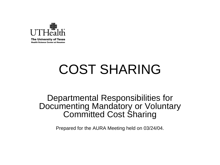

**Health Science Center at Houston** 

# COST SHARING

#### Departmental Responsibilities for Documenting Mandatory or Voluntary Committed Cost Sharing

Prepared for the AURA Meeting held on 03/24/04.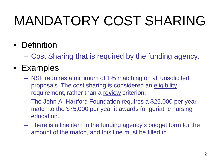# MANDATORY COST SHARING

- Definition
	- Cost Sharing that is required by the funding agency.
- Examples
	- NSF requires a minimum of 1% matching on all unsolicited proposals. The cost sharing is considered an eligibility requirement, rather than a review criterion.
	- The John A. Hartford Foundation requires a \$25,000 per year match to the \$75,000 per year it awards for geriatric nursing education.
	- There is a line item in the funding agency's budget form for the amount of the match, and this line must be filled in.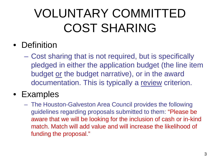### VOLUNTARY COMMITTED COST SHARING

### • Definition

– Cost sharing that is not required, but is specifically pledged in either the application budget (the line item budget or the budget narrative), or in the award documentation. This is typically a review criterion.

#### • Examples

– The Houston-Galveston Area Council provides the following guidelines regarding proposals submitted to them: "Please be aware that we will be looking for the inclusion of cash or in-kind match. Match will add value and will increase the likelihood of funding the proposal."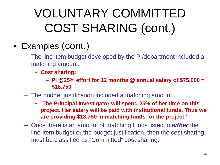## VOLUNTARY COMMITTED COST SHARING (cont.)

- Examples (cont.)
	- The line item budget developed by the PI/department included a matching amount.
		- **Cost sharing:**
			- **PI @25% effort for 12 months @ annual salary of \$75,000 = \$18,750**
	- The budget justification included a matching amount.
		- "**The Principal Investigator will spend 25% of her time on this project. Her salary will be paid with institutional funds. Thus we are providing \$18,750 in matching funds for the project."**
	- Once there is an amount of matching funds listed in *either* the line-item budget or the budget justification, then the cost sharing must be classified as "Committed" cost sharing.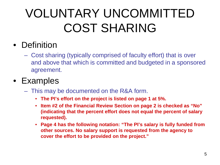## VOLUNTARY UNCOMMITTED COST SHARING

### • Definition

– Cost sharing (typically comprised of faculty effort) that is over and above that which is committed and budgeted in a sponsored agreement.

### • Examples

- This may be documented on the R&A form.
	- **The PI's effort on the project is listed on page 1 at 5%.**
	- **Item #2 of the Financial Review Section on page 2 is checked as "No" (indicating that the percent effort does not equal the percent of salary requested).**
	- **Page 4 has the following notation: "The PI's salary is fully funded from other sources. No salary support is requested from the agency to cover the effort to be provided on the project."**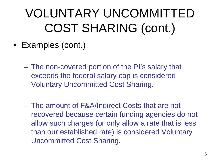### VOLUNTARY UNCOMMITTED COST SHARING (cont.)

- Examples (cont.)
	- The non-covered portion of the PI's salary that exceeds the federal salary cap is considered Voluntary Uncommitted Cost Sharing.
	- The amount of F&A/Indirect Costs that are not recovered because certain funding agencies do not allow such charges (or only allow a rate that is less than our established rate) is considered Voluntary Uncommitted Cost Sharing.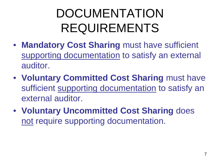### DOCUMENTATION REQUIREMENTS

- **Mandatory Cost Sharing** must have sufficient supporting documentation to satisfy an external auditor.
- **Voluntary Committed Cost Sharing** must have sufficient supporting documentation to satisfy an external auditor.
- **Voluntary Uncommitted Cost Sharing** does not require supporting documentation.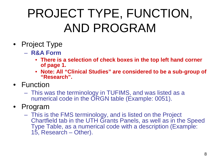### PROJECT TYPE, FUNCTION, AND PROGRAM

- Project Type
	- **R&A Form**
		- **There is a selection of check boxes in the top left hand corner of page 1.**
		- **Note: All "Clinical Studies" are considered to be a sub-group of "Research".**
- Function
	- This was the terminology in TUFIMS, and was listed as a numerical code in the ORGN table (Example: 0051).
- Program
	- This is the FMS terminology, and is listed on the Project Chartfield tab in the UTH Grants Panels, as well as in the Speed Type Table, as a numerical code with a description (Example: 15, Research – Other).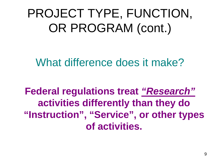PROJECT TYPE, FUNCTION, OR PROGRAM (cont.)

What difference does it make?

**Federal regulations treat** *"Research"* **activities differently than they do "Instruction", "Service", or other types of activities.**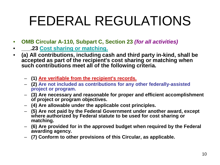# FEDERAL REGULATIONS

- **OMB Circular A-110, Subpart C, Section 23** *(for all activities)*
- **\_\_\_.23 Cost sharing or matching.**
- **(a) All contributions, including cash and third party in-kind, shall be accepted as part of the recipient's cost sharing or matching when such contributions meet all of the following criteria.**
	- **(1) Are verifiable from the recipient's records.**
	- **(2) Are not included as contributions for any other federally-assisted project or program.**
	- **(3) Are necessary and reasonable for proper and efficient accomplishment of project or program objectives.**
	- **(4) Are allowable under the applicable cost principles.**
	- **(5) Are not paid by the Federal Government under another award, except where authorized by Federal statute to be used for cost sharing or matching.**
	- **(6) Are provided for in the approved budget when required by the Federal awarding agency.**
	- **(7) Conform to other provisions of this Circular, as applicable.**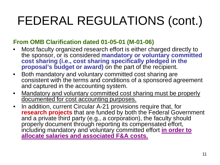# FEDERAL REGULATIONS (cont.)

#### **From OMB Clarification dated 01-05-01 (M-01-06)**

- Most faculty organized research effort is either charged directly to the sponsor, or is considered **mandatory or voluntary committed cost sharing (i.e., cost sharing specifically pledged in the proposal's budget or award)** on the part of the recipient.
- Both mandatory and voluntary committed cost sharing are consistent with the terms and conditions of a sponsored agreement and captured in the accounting system.
- Mandatory and voluntary committed cost sharing must be properly documented for cost accounting purposes.
- In addition, current Circular A-21 provisions require that, for **research projects** that are funded by both the Federal Government and a private third party (e.g., a corporation), the faculty should properly document through reporting its compensated effort, including mandatory and voluntary committed effort **in order to allocate salaries and associated F&A costs.**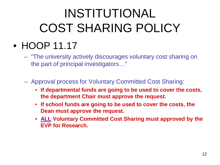## INSTITUTIONAL COST SHARING POLICY

- HOOP 11.17
	- "The university actively discourages voluntary cost sharing on the part of principal investigators…"
	- Approval process for Voluntary Committed Cost Sharing:
		- **If departmental funds are going to be used to cover the costs, the department Chair must approve the request.**
		- **If school funds are going to be used to cover the costs, the Dean must approve the request.**
		- **ALL Voluntary Committed Cost Sharing must approved by the EVP for Research.**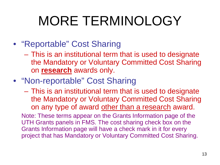# MORE TERMINOLOGY

### • "Reportable" Cost Sharing

- This is an institutional term that is used to designate the Mandatory or Voluntary Committed Cost Sharing on **research** awards only.
- "Non-reportable" Cost Sharing
	- This is an institutional term that is used to designate the Mandatory or Voluntary Committed Cost Sharing on any type of award other than a research award.

Note: These terms appear on the Grants Information page of the UTH Grants panels in FMS. The cost sharing check box on the Grants Information page will have a check mark in it for every project that has Mandatory or Voluntary Committed Cost Sharing.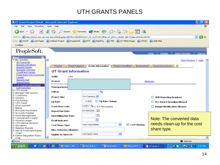#### UTH GRANTS PANELS

| <b>4 UT Grant Project Detail - Microsoft Internet Explorer</b><br>×                                                                                                               | l⊡   >           |  |  |  |  |  |  |  |
|-----------------------------------------------------------------------------------------------------------------------------------------------------------------------------------|------------------|--|--|--|--|--|--|--|
| Favorites Tools Help<br>File<br>Edit<br><b>View</b>                                                                                                                               |                  |  |  |  |  |  |  |  |
| <b>x</b> 2 4 O Search <b>x</b> Favorites <sup>a</sup> Media <sup>2</sup> 2 3 3<br>$\Box$ $\heartsuit$ $3$<br>Back +                                                               |                  |  |  |  |  |  |  |  |
| http://storm.hsc.uth.tmc.edu:8080/psp/fprd/EMPLOYEE/ERP/c/UT_FS_CUSTOM_MENU.UT_PROJ_GRANT.GBL?Folder=MYFAVORITES<br>$\checkmark$<br>Address                                       | $\Rightarrow$ Go |  |  |  |  |  |  |  |
| Links @ HOOP @ Lite Pages @ Outlook Project @ PeopleSoft @ RFS @ RightFax @ TMS @ UT White Pages @ UTHSC @ Web Mail                                                               |                  |  |  |  |  |  |  |  |
| Loading                                                                                                                                                                           |                  |  |  |  |  |  |  |  |
|                                                                                                                                                                                   |                  |  |  |  |  |  |  |  |
| PeopleSoft.                                                                                                                                                                       |                  |  |  |  |  |  |  |  |
| Worklist<br>Home<br>Add to Favorites                                                                                                                                              | Sign out         |  |  |  |  |  |  |  |
| Menu                                                                                                                                                                              |                  |  |  |  |  |  |  |  |
| $\nabla$ My Favorites<br>New Window<br>All Payments                                                                                                                               | Help             |  |  |  |  |  |  |  |
| <b>Budget Definitions</b><br>$\blacktriangleright$<br>Project<br>Grants Information<br><b>Project Chartfield</b><br><b>Grant Assurances</b><br><b>Project Agency</b><br>Endowment |                  |  |  |  |  |  |  |  |
| <b>Budget Details</b><br><b>Budgets Overview</b>                                                                                                                                  |                  |  |  |  |  |  |  |  |
| <b>UT Grant Information</b><br><b>ChartField Values</b>                                                                                                                           |                  |  |  |  |  |  |  |  |
| Fund-Area-Org Crosswalk<br>SetID:<br>UTH                                                                                                                                          |                  |  |  |  |  |  |  |  |
| Ledger<br>SpeedChart                                                                                                                                                              |                  |  |  |  |  |  |  |  |
| Project:<br><b>Attributes</b><br>- SpeedTypes                                                                                                                                     |                  |  |  |  |  |  |  |  |
| - UT Grant Project Detail                                                                                                                                                         |                  |  |  |  |  |  |  |  |
| *Principal Inves<br><b>Edit Favorites</b>                                                                                                                                         |                  |  |  |  |  |  |  |  |
| D UTH Grants<br>$\alpha$<br>Fellow:<br>Manager Self-Service                                                                                                                       |                  |  |  |  |  |  |  |  |
| Customers                                                                                                                                                                         |                  |  |  |  |  |  |  |  |
| On Campus ↓<br><b>Project Site:</b><br><b>HUB Reporting Required</b><br>▷ Vendors                                                                                                 |                  |  |  |  |  |  |  |  |
| $\triangleright$ Purchasing<br>0.000<br>FA Rate Change<br>FA Rate:<br><b>Pre Award Spending Allowed</b>                                                                           |                  |  |  |  |  |  |  |  |
| D UTH Travel<br>DeProcurement                                                                                                                                                     |                  |  |  |  |  |  |  |  |
| $ \mathsf{CORC} \,\blacksquare\,$ C & G Receivable<br>*Cash Flow Code:<br><b>Budget Modification Allowed</b><br>$\triangleright$ Billina                                          |                  |  |  |  |  |  |  |  |
| Accounts Receivable<br>阃<br>01/30/2005<br><b>Report Due Date:</b>                                                                                                                 |                  |  |  |  |  |  |  |  |
| Accounts Payable<br>蓟<br>▶ Asset Management                                                                                                                                       |                  |  |  |  |  |  |  |  |
| Final Billing Due Date:<br>D Commitment Control<br>Note: The converted data                                                                                                       |                  |  |  |  |  |  |  |  |
| ×<br>D General Ledger<br>Profit Indicator:                                                                                                                                        |                  |  |  |  |  |  |  |  |
| D UTH Internal Services<br>needs clean-up for the cost<br>$\checkmark$<br>Non-reportable<br>$\triangledown$ Cost Sharing<br><b>Cost Share Type:</b>                               |                  |  |  |  |  |  |  |  |
| Allocations<br>Statutory Reports                                                                                                                                                  |                  |  |  |  |  |  |  |  |
| share type.<br><b>Misc Reference Number:</b><br>Set Up Financials/Supply                                                                                                          |                  |  |  |  |  |  |  |  |
| Chain<br>$\ddotmark$<br>Not Applicable<br>Eligible for Interest:                                                                                                                  |                  |  |  |  |  |  |  |  |
| D Define Integration Rules<br><b>FDM</b>                                                                                                                                          |                  |  |  |  |  |  |  |  |
| <b>Done</b><br><b>D</b> Internet                                                                                                                                                  |                  |  |  |  |  |  |  |  |
| <b>A</b> start<br>$C \subset \mathbb{Z}$ in $\mathbb{Z}$<br>9.333品評 V 2 5:57 PM<br>$\boxed{\odot}$ Inbox - Mic<br>图 fms_full_q<br>Personal D<br>UT Grant P<br>B Microsoft P       |                  |  |  |  |  |  |  |  |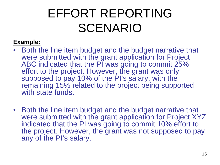### EFFORT REPORTING SCENARIO

#### **Example:**

- Both the line item budget and the budget narrative that were submitted with the grant application for Project ABC indicated that the PI was going to commit 25% effort to the project. However, the grant was only supposed to pay 10% of the PI's salary, with the remaining 15% related to the project being supported with state funds.
- Both the line item budget and the budget narrative that were submitted with the grant application for Project XYZ indicated that the PI was going to commit 10% effort to the project. However, the grant was not supposed to pay any of the PI's salary.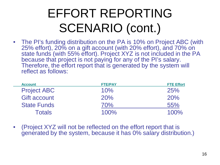### EFFORT REPORTING SCENARIO (cont.)

• The PI's funding distribution on the PA is 10% on Project ABC (with 25% effort), 20% on a gift account (with 20% effort), and 70% on state funds (with 55% effort). Project XYZ is not included in the PA because that project is not paying for any of the PI's salary. Therefore, the effort report that is generated by the system will reflect as follows:

| <b>Account</b>      | <b>FTE/PAY</b> | <b>FTE Effort</b> |
|---------------------|----------------|-------------------|
| <b>Project ABC</b>  | 10%            | 25%               |
| <b>Gift account</b> | 20%            | 20%               |
| <b>State Funds</b>  | 70%            | 55%               |
| <b>Totals</b>       | $100\%$        | 100%              |

• (Project XYZ will not be reflected on the effort report that is generated by the system, because it has 0% salary distribution.)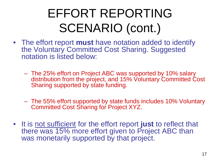### EFFORT REPORTING SCENARIO (cont.)

- The effort report **must** have notation added to identify the Voluntary Committed Cost Sharing. Suggested notation is listed below:
	- The 25% effort on Project ABC was supported by 10% salary distribution from the project, and 15% Voluntary Committed Cost Sharing supported by state funding.
	- The 55% effort supported by state funds includes 10% Voluntary Committed Cost Sharing for Project XYZ.
- It is not sufficient for the effort report **just** to reflect that there was 15% more effort given to Project ABC than was monetarily supported by that project.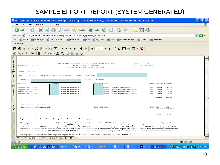#### SAMPLE EFFORT REPORT (SYSTEM GENERATED)

|                                                  | 2 http://dozer.uth.tmc.edu:7001/servlets/psreports/hprd/32214/upay26f_143850.PDF - Microsoft Internet Explorer                                                                                                                                                                                                                                                                                                                                                                                                                                                                                                                                                                                                 |                                                                                                                                                                                                 |                                                                           |                                                                                         |                                                                             |                                    |                                                      |                                                                                                                             |                                                                                       |                         | o                |
|--------------------------------------------------|----------------------------------------------------------------------------------------------------------------------------------------------------------------------------------------------------------------------------------------------------------------------------------------------------------------------------------------------------------------------------------------------------------------------------------------------------------------------------------------------------------------------------------------------------------------------------------------------------------------------------------------------------------------------------------------------------------------|-------------------------------------------------------------------------------------------------------------------------------------------------------------------------------------------------|---------------------------------------------------------------------------|-----------------------------------------------------------------------------------------|-----------------------------------------------------------------------------|------------------------------------|------------------------------------------------------|-----------------------------------------------------------------------------------------------------------------------------|---------------------------------------------------------------------------------------|-------------------------|------------------|
|                                                  | File<br>Edit<br>Favorites Tools Help<br>View                                                                                                                                                                                                                                                                                                                                                                                                                                                                                                                                                                                                                                                                   |                                                                                                                                                                                                 |                                                                           |                                                                                         |                                                                             |                                    |                                                      |                                                                                                                             |                                                                                       |                         |                  |
|                                                  | $\mathbf{x}$<br>Back <b>T</b>                                                                                                                                                                                                                                                                                                                                                                                                                                                                                                                                                                                                                                                                                  | Search <b>Search</b> Favorites <b>CA</b> Media (2)                                                                                                                                              |                                                                           |                                                                                         |                                                                             | $\Box$                             | $\overline{\odot}$ $^{88}$                           |                                                                                                                             |                                                                                       |                         |                  |
|                                                  | http://dozer.uth.tmc.edu:7001/servlets/psreports/hprd/32214/upay26f_143850.PDF<br>Address                                                                                                                                                                                                                                                                                                                                                                                                                                                                                                                                                                                                                      |                                                                                                                                                                                                 |                                                                           |                                                                                         |                                                                             |                                    |                                                      |                                                                                                                             |                                                                                       |                         | $\Rightarrow$ Go |
|                                                  | Links @ HOOP @ Lite Pages @ Outlook Project @ PeopleSoft @ RFS @ RightFax @ TMS @ UT White Pages                                                                                                                                                                                                                                                                                                                                                                                                                                                                                                                                                                                                               |                                                                                                                                                                                                 |                                                                           |                                                                                         |                                                                             |                                    | @UTHSC @Web Mail                                     |                                                                                                                             |                                                                                       |                         |                  |
|                                                  | Loading                                                                                                                                                                                                                                                                                                                                                                                                                                                                                                                                                                                                                                                                                                        |                                                                                                                                                                                                 |                                                                           |                                                                                         |                                                                             |                                    |                                                      |                                                                                                                             |                                                                                       |                         |                  |
|                                                  | 电的 相高的 图图 14 4<br>日子                                                                                                                                                                                                                                                                                                                                                                                                                                                                                                                                                                                                                                                                                           | $\blacktriangleright$                                                                                                                                                                           | $\Theta$ 122%                                                             | $\cdot$ $\circ$                                                                         |                                                                             | <b>DDFEP</b>                       | W                                                    |                                                                                                                             |                                                                                       |                         |                  |
|                                                  | $ \mathcal{O}(\mathbf{Q} \cdot   \mathbf{T}_1 \cdot \mathbf{S}  )$ . $ \mathcal{O}(\mathbf{Q} \cdot \mathbf{Z} \cdot \mathbf{S}) $ . $ \mathcal{O}(\mathbf{Q} \cdot \mathbf{S}) $                                                                                                                                                                                                                                                                                                                                                                                                                                                                                                                              | 囹<br>  嬰 肋                                                                                                                                                                                      |                                                                           |                                                                                         |                                                                             |                                    |                                                      |                                                                                                                             |                                                                                       |                         |                  |
| Thumbnails Bookmarks<br>7<br>Signatures Comments | REPORT-ID: UPAY26F<br>School: Nursing<br>DEPT: 79080000<br>Nursing For Target Populations<br>EMPLOYEE:<br>ACTIVITY<br>POSITION<br>-------<br>Instruction - Other<br>Instruction - Other<br>Public Service<br>Instruction - Other<br>END OF PERIOD (EOP) DATA:<br>Provided for information only                                                                                                                                                                                                                                                                                                                                                                                                                 | THE UNIVERSITY OF TEXAS HEALTH SCIENCE CENTER AT HOUSTON<br>SIX MONTHS ENDING February 29, 2004<br>Instr in Nursing NTC<br>Instr in Nursing NTC<br>Instr in Nursing NTC<br>Instr in Nursing NTC | EFFORT REPORT BY EMPLOYEE<br>Incumbent Supervisor:<br>PAYGROUP: Fac Admin | HRMS ACCT CODE<br>$- - - - -$<br>267008<br>867008<br>767008<br>767008<br>HRMS ACCT CODE | General Instruction<br>Inc Enrollment Undergrad<br>Nurse Practitioner--Svcs | PAGE:<br>H-GAC Worksource Proposal | 13<br>RUN DATE: 03/18/04<br>REG<br>REG<br>REG<br>REG | EARN FTE/PAY & EFFORT &<br>--------<br>17.74<br>67.74<br>9.68<br>4.84<br>$- - - - - - -$<br>100.00<br>------<br>EARN<br>EOP | -------<br>17.74<br>67.74<br>9.68<br>4.84<br>$- - - - - -$<br>100.00<br>------<br>EOP |                         |                  |
|                                                  | Explanation of fields used on this report are located on the next page.<br>This report is used to comply with Office of Management and Budget Circular A-21. FTE/PAY % is calculated using the salary that was actually reported<br>and charged to each particular account code. EFFORT & represents the amount of effort that was worked on the project. These two anounts can be<br>different, but the EFFORT & must be greater than or equal to FTE/PAY & for all sponsored projects. The FTE/PAY & and the EFFORT & must always total 100%.<br>Review the distribution of FTE/PAY % and EFFORT \ for accuracy and note any discrepancies on this report and report them to your departmental administrator |                                                                                                                                                                                                 |                                                                           | ---------------                                                                         |                                                                             |                                    |                                                      | FTE/PAY & EFFORT<br>$- - - - - -$<br>D.0D                                                                                   | $- - - - - -$<br>0.00                                                                 |                         |                  |
|                                                  | for correction. Review the EOP FTE/PAY % and EOP EFFORT \ for accuracy and report any changes that need to be made to your departmental administrator.<br>The employee or supervisor must sign the report below and within 60 days after February 29, 2004 return to:                                                                                                                                                                                                                                                                                                                                                                                                                                          |                                                                                                                                                                                                 |                                                                           |                                                                                         |                                                                             |                                    |                                                      |                                                                                                                             |                                                                                       |                         |                  |
|                                                  | ∗<br>H $\leftarrow$ 13 of 24 $\rightarrow$ H $\leftarrow$ 11 x 8.5 in □ } } \ \ \ \ \                                                                                                                                                                                                                                                                                                                                                                                                                                                                                                                                                                                                                          |                                                                                                                                                                                                 |                                                                           |                                                                                         |                                                                             |                                    |                                                      |                                                                                                                             |                                                                                       |                         |                  |
|                                                  | <b>Done</b>                                                                                                                                                                                                                                                                                                                                                                                                                                                                                                                                                                                                                                                                                                    |                                                                                                                                                                                                 |                                                                           |                                                                                         |                                                                             |                                    |                                                      |                                                                                                                             |                                                                                       | <b>O</b> Internet       |                  |
|                                                  | $C \subset \mathbb{Z}$ in Eq.<br><b>H</b> start                                                                                                                                                                                                                                                                                                                                                                                                                                                                                                                                                                                                                                                                | $\boxed{\odot}$ In<br>图 fm                                                                                                                                                                      | <b>图 Pr</b>                                                               | <b>C</b> Mi…                                                                            | @10                                                                         | @ T                                | <b>W</b> M.                                          | 叠 ht                                                                                                                        |                                                                                       | <b>9.3℃3占PV☆</b> 6:47PM |                  |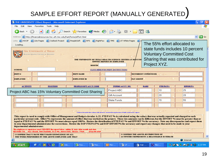### SAMPLE EFFORT REPORT (MANUALLY GENERATED)

|                                                                                                                                                                                                                                                                                                                                                                                                                                                                                                                                                                                                                                                                                                                                  | <b>THE UNIVERSITY Effort Report - Microsoft Internet Explorer</b>                                   |                                          |                  |                                                                                    |              |                                  |  |  |
|----------------------------------------------------------------------------------------------------------------------------------------------------------------------------------------------------------------------------------------------------------------------------------------------------------------------------------------------------------------------------------------------------------------------------------------------------------------------------------------------------------------------------------------------------------------------------------------------------------------------------------------------------------------------------------------------------------------------------------|-----------------------------------------------------------------------------------------------------|------------------------------------------|------------------|------------------------------------------------------------------------------------|--------------|----------------------------------|--|--|
| Favorites Tools Help<br>Edit<br>File<br>View                                                                                                                                                                                                                                                                                                                                                                                                                                                                                                                                                                                                                                                                                     |                                                                                                     |                                          |                  |                                                                                    |              |                                  |  |  |
| <b>BI</b><br>Back <b>T</b>                                                                                                                                                                                                                                                                                                                                                                                                                                                                                                                                                                                                                                                                                                       | Search <b>C</b> Favorites <b>C</b> Media <b>C</b>                                                   |                                          | $\Box$           | $\overline{8}$                                                                     |              |                                  |  |  |
| http://financialresources.hsc.uth.tmc.edu/fast/forms/effort.html<br><b>Address</b>                                                                                                                                                                                                                                                                                                                                                                                                                                                                                                                                                                                                                                               |                                                                                                     |                                          |                  |                                                                                    |              | $\rightarrow$ Go<br>$\checkmark$ |  |  |
| C Lite Pages C Outlook Project C PeopleSoft C RFS C RightFax C TMS<br>UT White Pages<br>Links <b>@ HOOP</b><br>The 55% effort allocated to<br>Loading<br>state funds includes 10 percent                                                                                                                                                                                                                                                                                                                                                                                                                                                                                                                                         |                                                                                                     |                                          |                  |                                                                                    |              |                                  |  |  |
| THE UNIVERSITY of TEXAS<br><b>Voluntary Committed Cost</b><br><b>TEALTH SCIENCE CENTER AT HOUSTON</b><br>Sharing that was contributed for<br>THE UNIVERSITY OF TEXAS HEAL TH SCIENCE CENTER AT HOUSTO!                                                                                                                                                                                                                                                                                                                                                                                                                                                                                                                           |                                                                                                     |                                          |                  |                                                                                    |              |                                  |  |  |
|                                                                                                                                                                                                                                                                                                                                                                                                                                                                                                                                                                                                                                                                                                                                  | <b>MONTH</b>                                                                                        | <b>EFFORT REPORT BY EMPLOYEE</b>         |                  |                                                                                    | Project XYZ. |                                  |  |  |
| <b>SCHOOL:</b>                                                                                                                                                                                                                                                                                                                                                                                                                                                                                                                                                                                                                                                                                                                   |                                                                                                     | <b>CLICK HERE FOR PRINT INSTRUCTIONS</b> |                  |                                                                                    |              |                                  |  |  |
| DEPT#                                                                                                                                                                                                                                                                                                                                                                                                                                                                                                                                                                                                                                                                                                                            | <b>DEPT NAME</b>                                                                                    |                                          |                  | <b>INCUMBENT SUPERVISOR</b>                                                        |              |                                  |  |  |
| <b>EMPLOYEE</b>                                                                                                                                                                                                                                                                                                                                                                                                                                                                                                                                                                                                                                                                                                                  | <b>EMPLOYEE ID</b>                                                                                  |                                          |                  | <b>PAY GROUP</b>                                                                   |              |                                  |  |  |
| <b>ACTIVITY</b><br><b>POSITION</b>                                                                                                                                                                                                                                                                                                                                                                                                                                                                                                                                                                                                                                                                                               | PEOPLESOFT ACCT CODE                                                                                |                                          | TUFIMS ACCT. NO. | <b>EARN</b>                                                                        | FTE/PAY%     | <b>EFFORT%</b>                   |  |  |
| Project ABC has 15% Voluntary Committed Cost Sharing                                                                                                                                                                                                                                                                                                                                                                                                                                                                                                                                                                                                                                                                             | Project ABC                                                                                         |                                          |                  | 10                                                                                 | 25           |                                  |  |  |
|                                                                                                                                                                                                                                                                                                                                                                                                                                                                                                                                                                                                                                                                                                                                  |                                                                                                     |                                          |                  |                                                                                    |              |                                  |  |  |
|                                                                                                                                                                                                                                                                                                                                                                                                                                                                                                                                                                                                                                                                                                                                  |                                                                                                     | Gift Account                             |                  |                                                                                    | 20           | 20                               |  |  |
|                                                                                                                                                                                                                                                                                                                                                                                                                                                                                                                                                                                                                                                                                                                                  |                                                                                                     | State Funds                              |                  |                                                                                    | 70           | 55                               |  |  |
|                                                                                                                                                                                                                                                                                                                                                                                                                                                                                                                                                                                                                                                                                                                                  |                                                                                                     |                                          |                  |                                                                                    |              |                                  |  |  |
|                                                                                                                                                                                                                                                                                                                                                                                                                                                                                                                                                                                                                                                                                                                                  | Click on the underline column title above to receive the explanation of fields used on this report. |                                          |                  |                                                                                    |              |                                  |  |  |
| This report is used to comply with Office of Management and Budget circular A-21. FTE/PAY % is calculated using the salary that was actually reported and charged to each<br>particular account code. Effort % represents the amount of effort that was worked on the project. These two amounts can be different, but the EFFORT % must be greater than or<br>equal to FTE/PAY % and the EFFORT % must always equal 100%. Review the distribution of FTE/PAY % and EFFORT % for accuracy. Note any discrepancies and report them<br>to your departmental administrator for corrections. Review the EOP FTE/PAY% and EOP EFFORT% for accuracy and report any changes that need to be made to your<br>departmental administrator. |                                                                                                     |                                          |                  |                                                                                    |              |                                  |  |  |
| The employee or supervisor must CERTIFY the report below within 30 days after month end date.<br>RETURN TO: FAS TEAM, 7000 FANNIN, UCT 900, HOUSTON, TEXAS 77030                                                                                                                                                                                                                                                                                                                                                                                                                                                                                                                                                                 | $(713) 500 - 4949$                                                                                  |                                          |                  |                                                                                    |              |                                  |  |  |
| I CONFIRM THAT I HAVE FIRST-HAND KNOWLEDGE OF ALL<br>THE WORK PERFORMED BY THE ABOVE EMPLOYEE AND THAT                                                                                                                                                                                                                                                                                                                                                                                                                                                                                                                                                                                                                           |                                                                                                     |                                          |                  | I CONFIRM THE ABOVE DISTRIBUTION OF<br>ACTIVITIES REPRESENTS A REASONABLE ESTIMATE |              |                                  |  |  |
|                                                                                                                                                                                                                                                                                                                                                                                                                                                                                                                                                                                                                                                                                                                                  |                                                                                                     |                                          |                  |                                                                                    |              | $\bullet$ Internet               |  |  |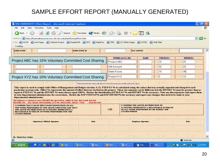#### SAMPLE EFFORT REPORT (MANUALLY GENERATED)

| <b>THE UNIVERSITY Effort Report - Microsoft Internet Explorer</b>                                                                                                                                                                                                                                                                                                                                                                                                                                                                                                                                                                                                                                                                                                                                                                                                                                                                                                                                                                                                                                                                                                                                                                                                                                                                                                                                                                                                                                                          |                           |                         |          |                   | o |  |  |  |  |
|----------------------------------------------------------------------------------------------------------------------------------------------------------------------------------------------------------------------------------------------------------------------------------------------------------------------------------------------------------------------------------------------------------------------------------------------------------------------------------------------------------------------------------------------------------------------------------------------------------------------------------------------------------------------------------------------------------------------------------------------------------------------------------------------------------------------------------------------------------------------------------------------------------------------------------------------------------------------------------------------------------------------------------------------------------------------------------------------------------------------------------------------------------------------------------------------------------------------------------------------------------------------------------------------------------------------------------------------------------------------------------------------------------------------------------------------------------------------------------------------------------------------------|---------------------------|-------------------------|----------|-------------------|---|--|--|--|--|
| Favorites Tools Help<br>File<br>Edit<br>View                                                                                                                                                                                                                                                                                                                                                                                                                                                                                                                                                                                                                                                                                                                                                                                                                                                                                                                                                                                                                                                                                                                                                                                                                                                                                                                                                                                                                                                                               |                           |                         |          |                   |   |  |  |  |  |
| Search <b>C</b> Favorites <b>C</b> Media <b>C</b><br><b>PO</b><br>840.<br>$\sqrt{8}$<br>$\mathbf{x}$<br>Back +                                                                                                                                                                                                                                                                                                                                                                                                                                                                                                                                                                                                                                                                                                                                                                                                                                                                                                                                                                                                                                                                                                                                                                                                                                                                                                                                                                                                             |                           |                         |          |                   |   |  |  |  |  |
| Address <b>&amp;</b> http://financialresources.hsc.uth.tmc.edu/fast/forms/effort.html<br>$\rightarrow$ Go<br>$\checkmark$                                                                                                                                                                                                                                                                                                                                                                                                                                                                                                                                                                                                                                                                                                                                                                                                                                                                                                                                                                                                                                                                                                                                                                                                                                                                                                                                                                                                  |                           |                         |          |                   |   |  |  |  |  |
| Links @ HOOP @ Lite Pages @ Outlook Project @ PeopleSoft @ RFS @ RightFax @ TMS @ UT White Pages @ UTHSC @ Web Mail                                                                                                                                                                                                                                                                                                                                                                                                                                                                                                                                                                                                                                                                                                                                                                                                                                                                                                                                                                                                                                                                                                                                                                                                                                                                                                                                                                                                        |                           |                         |          |                   |   |  |  |  |  |
| Loading                                                                                                                                                                                                                                                                                                                                                                                                                                                                                                                                                                                                                                                                                                                                                                                                                                                                                                                                                                                                                                                                                                                                                                                                                                                                                                                                                                                                                                                                                                                    |                           |                         |          |                   |   |  |  |  |  |
| <b>EMPLOYEE</b><br><b>EMPLOYEE ID</b>                                                                                                                                                                                                                                                                                                                                                                                                                                                                                                                                                                                                                                                                                                                                                                                                                                                                                                                                                                                                                                                                                                                                                                                                                                                                                                                                                                                                                                                                                      | PAY GROUP                 |                         |          |                   |   |  |  |  |  |
|                                                                                                                                                                                                                                                                                                                                                                                                                                                                                                                                                                                                                                                                                                                                                                                                                                                                                                                                                                                                                                                                                                                                                                                                                                                                                                                                                                                                                                                                                                                            |                           |                         |          |                   |   |  |  |  |  |
|                                                                                                                                                                                                                                                                                                                                                                                                                                                                                                                                                                                                                                                                                                                                                                                                                                                                                                                                                                                                                                                                                                                                                                                                                                                                                                                                                                                                                                                                                                                            | TUFIMS ACCT. NO.          | <b>EARN</b>             | FTE/PAY% | <b>EFFORT%</b>    |   |  |  |  |  |
| Project ABC has 15% Voluntary Committed Cost Sharing                                                                                                                                                                                                                                                                                                                                                                                                                                                                                                                                                                                                                                                                                                                                                                                                                                                                                                                                                                                                                                                                                                                                                                                                                                                                                                                                                                                                                                                                       | Project ABC               |                         | 10       | 25                |   |  |  |  |  |
|                                                                                                                                                                                                                                                                                                                                                                                                                                                                                                                                                                                                                                                                                                                                                                                                                                                                                                                                                                                                                                                                                                                                                                                                                                                                                                                                                                                                                                                                                                                            | Gift Account              |                         | 20       | 20                |   |  |  |  |  |
|                                                                                                                                                                                                                                                                                                                                                                                                                                                                                                                                                                                                                                                                                                                                                                                                                                                                                                                                                                                                                                                                                                                                                                                                                                                                                                                                                                                                                                                                                                                            | <b>State Funds</b>        |                         | 70       | 45                |   |  |  |  |  |
| Project XYZ has 10% Voluntary Committed Cost Sharing                                                                                                                                                                                                                                                                                                                                                                                                                                                                                                                                                                                                                                                                                                                                                                                                                                                                                                                                                                                                                                                                                                                                                                                                                                                                                                                                                                                                                                                                       | Project XYZ               |                         | 0        | 10                |   |  |  |  |  |
| Click on the underline column title shove to receive the explanation of fields used on this report.<br>This report is used to comply with Office of Management and Budget circular A-21. FTE/PAY % is calculated using the salary that was actually reported and charged to each<br>particular account code. Effort % represents the amount of effort that was worked on the project. These two amounts can be different, but the EFFORT % must be greater than or<br>equal to FTEPAY % and the EFFORT % must always equal 100%. Review the distribution of FTEPAY % and EFFORT % for accuracy. Note any discrepancies and report them<br>to your departmental administrator for corrections. Review the EOP FTE/PAY% and EOP EFFORT% for accuracy and report any changes that need to be made to your<br>departmental administrator.<br>The employee or supervisor must CERTIFY the report below within 30 days after month end date.<br>RETURN TO: FAS TEAM, 7000 FANNIN, UCT 900, HOUSTON, TEXAS 77030<br>(713) 500-4949<br>I CONFIRM THE ABOVE DISTRIBUTION OF<br>I CONFIRM THAT I HAVE FIRST-HAND KNOWLEDGE OF ALL<br>ACTIVITIES REPRESENTS A REASONABLE ESTIMATE<br>THE WORK PERFORMED BY THE ABOVE EMPLOYEE AND THAT<br>ОR<br>OF ALL WORK PERFORMED BY ME DURING THE<br>THE ABOVE DISTRIBUTION OF ACTIVITIES REPRESENTS A<br><b>STATED PERIOD.</b><br>REASONABLE ESTIMATE OF WORK PERFORMED FOR THE<br><b>STATED PERIOD.</b><br><b>Supervisory Official Signature</b><br>Date<br><b>Employee Signature</b><br>Darte |                           |                         |          |                   |   |  |  |  |  |
| By: Cherd Kae' Parker                                                                                                                                                                                                                                                                                                                                                                                                                                                                                                                                                                                                                                                                                                                                                                                                                                                                                                                                                                                                                                                                                                                                                                                                                                                                                                                                                                                                                                                                                                      |                           |                         |          |                   |   |  |  |  |  |
|                                                                                                                                                                                                                                                                                                                                                                                                                                                                                                                                                                                                                                                                                                                                                                                                                                                                                                                                                                                                                                                                                                                                                                                                                                                                                                                                                                                                                                                                                                                            |                           |                         |          | <b>O</b> Internet |   |  |  |  |  |
| $C \in \mathbb{Z}$ of $E$<br>$\odot$ Inb<br>图 fms<br>e Peo<br>#∃ start                                                                                                                                                                                                                                                                                                                                                                                                                                                                                                                                                                                                                                                                                                                                                                                                                                                                                                                                                                                                                                                                                                                                                                                                                                                                                                                                                                                                                                                     | @ UT<br>$\mathbb{C}$ Micr | 图 THE<br><b>By</b> Micr |          | 9.303品評V☆ 6:39 PM |   |  |  |  |  |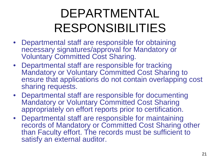### DEPARTMENTAL RESPONSIBILITIES

- Departmental staff are responsible for obtaining necessary signatures/approval for Mandatory or Voluntary Committed Cost Sharing.
- Departmental staff are responsible for tracking Mandatory or Voluntary Committed Cost Sharing to ensure that applications do not contain overlapping cost sharing requests.
- Departmental staff are responsible for documenting Mandatory or Voluntary Committed Cost Sharing appropriately on effort reports prior to certification.
- Departmental staff are responsible for maintaining records of Mandatory or Committed Cost Sharing other than Faculty effort. The records must be sufficient to satisfy an external auditor.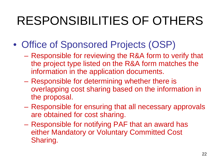## RESPONSIBILITIES OF OTHERS

- Office of Sponsored Projects (OSP)
	- Responsible for reviewing the R&A form to verify that the project type listed on the R&A form matches the information in the application documents.
	- Responsible for determining whether there is overlapping cost sharing based on the information in the proposal.
	- Responsible for ensuring that all necessary approvals are obtained for cost sharing.
	- Responsible for notifying PAF that an award has either Mandatory or Voluntary Committed Cost Sharing.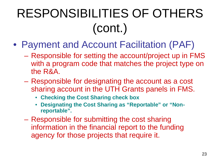# RESPONSIBILITIES OF OTHERS (cont.)

- Payment and Account Facilitation (PAF)
	- Responsible for setting the account/project up in FMS with a program code that matches the project type on the R&A.
	- Responsible for designating the account as a cost sharing account in the UTH Grants panels in FMS.
		- **Checking the Cost Sharing check box**
		- **Designating the Cost Sharing as "Reportable" or "Nonreportable".**
	- Responsible for submitting the cost sharing information in the financial report to the funding agency for those projects that require it.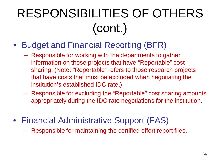## RESPONSIBILITIES OF OTHERS (cont.)

- Budget and Financial Reporting (BFR)
	- Responsible for working with the departments to gather information on those projects that have "Reportable" cost sharing. (Note: "Reportable" refers to those research projects that have costs that must be excluded when negotiating the institution's established IDC rate.)
	- Responsible for excluding the "Reportable" cost sharing amounts appropriately during the IDC rate negotiations for the institution.
- Financial Administrative Support (FAS)
	- Responsible for maintaining the certified effort report files.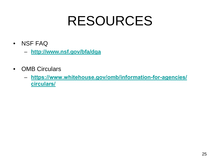## RESOURCES

- NSF FAQ
	- **[http://www.nsf.gov/bfa/dga](https://www.nsf.gov/bfa/dga/)**
- OMB Circulars
	- **[https://www.whitehouse.gov/omb/information-for-agencies/](https://www.whitehouse.gov/omb/information-for-agencies/circulars/) circulars/**